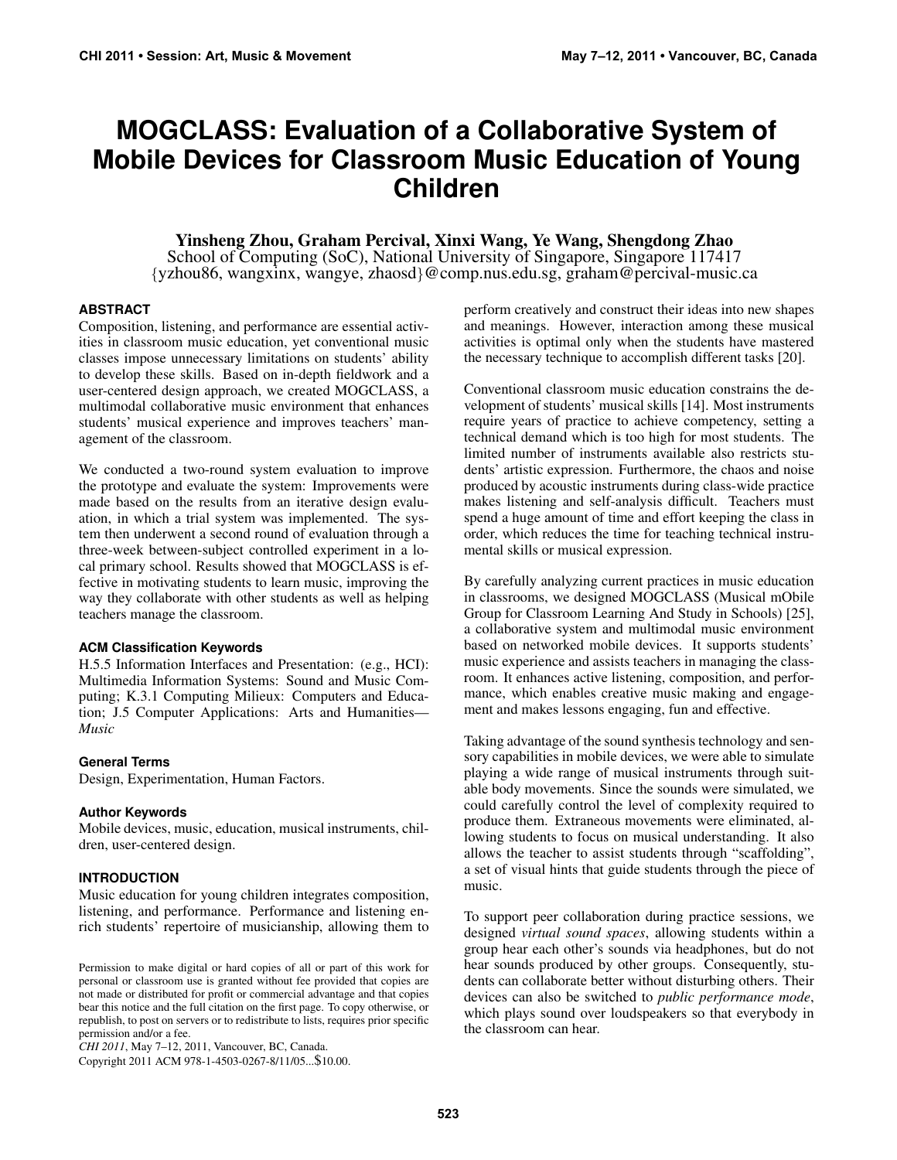# **MOGCLASS: Evaluation of a Collaborative System of Mobile Devices for Classroom Music Education of Young Children**

# Yinsheng Zhou, Graham Percival, Xinxi Wang, Ye Wang, Shengdong Zhao

School of Computing (SoC), National University of Singapore, Singapore 117417 {yzhou86, wangxinx, wangye, zhaosd}@comp.nus.edu.sg, graham@percival-music.ca

#### **ABSTRACT**

Composition, listening, and performance are essential activities in classroom music education, yet conventional music classes impose unnecessary limitations on students' ability to develop these skills. Based on in-depth fieldwork and a user-centered design approach, we created MOGCLASS, a multimodal collaborative music environment that enhances students' musical experience and improves teachers' management of the classroom.

We conducted a two-round system evaluation to improve the prototype and evaluate the system: Improvements were made based on the results from an iterative design evaluation, in which a trial system was implemented. The system then underwent a second round of evaluation through a three-week between-subject controlled experiment in a local primary school. Results showed that MOGCLASS is effective in motivating students to learn music, improving the way they collaborate with other students as well as helping teachers manage the classroom.

#### **ACM Classification Keywords**

H.5.5 Information Interfaces and Presentation: (e.g., HCI): Multimedia Information Systems: Sound and Music Computing; K.3.1 Computing Milieux: Computers and Education; J.5 Computer Applications: Arts and Humanities— *Music*

#### **General Terms**

Design, Experimentation, Human Factors.

#### **Author Keywords**

Mobile devices, music, education, musical instruments, children, user-centered design.

## **INTRODUCTION**

Music education for young children integrates composition, listening, and performance. Performance and listening enrich students' repertoire of musicianship, allowing them to

*CHI 2011*, May 7–12, 2011, Vancouver, BC, Canada.

Copyright 2011 ACM 978-1-4503-0267-8/11/05...\$10.00.

perform creatively and construct their ideas into new shapes and meanings. However, interaction among these musical activities is optimal only when the students have mastered the necessary technique to accomplish different tasks [\[20\]](#page-9-0).

Conventional classroom music education constrains the development of students' musical skills [\[14\]](#page-9-1). Most instruments require years of practice to achieve competency, setting a technical demand which is too high for most students. The limited number of instruments available also restricts students' artistic expression. Furthermore, the chaos and noise produced by acoustic instruments during class-wide practice makes listening and self-analysis difficult. Teachers must spend a huge amount of time and effort keeping the class in order, which reduces the time for teaching technical instrumental skills or musical expression.

By carefully analyzing current practices in music education in classrooms, we designed MOGCLASS (Musical mObile Group for Classroom Learning And Study in Schools) [\[25\]](#page-9-2), a collaborative system and multimodal music environment based on networked mobile devices. It supports students' music experience and assists teachers in managing the classroom. It enhances active listening, composition, and performance, which enables creative music making and engagement and makes lessons engaging, fun and effective.

Taking advantage of the sound synthesis technology and sensory capabilities in mobile devices, we were able to simulate playing a wide range of musical instruments through suitable body movements. Since the sounds were simulated, we could carefully control the level of complexity required to produce them. Extraneous movements were eliminated, allowing students to focus on musical understanding. It also allows the teacher to assist students through "scaffolding", a set of visual hints that guide students through the piece of music.

To support peer collaboration during practice sessions, we designed *virtual sound spaces*, allowing students within a group hear each other's sounds via headphones, but do not hear sounds produced by other groups. Consequently, students can collaborate better without disturbing others. Their devices can also be switched to *public performance mode*, which plays sound over loudspeakers so that everybody in the classroom can hear.

Permission to make digital or hard copies of all or part of this work for personal or classroom use is granted without fee provided that copies are not made or distributed for profit or commercial advantage and that copies bear this notice and the full citation on the first page. To copy otherwise, or republish, to post on servers or to redistribute to lists, requires prior specific permission and/or a fee.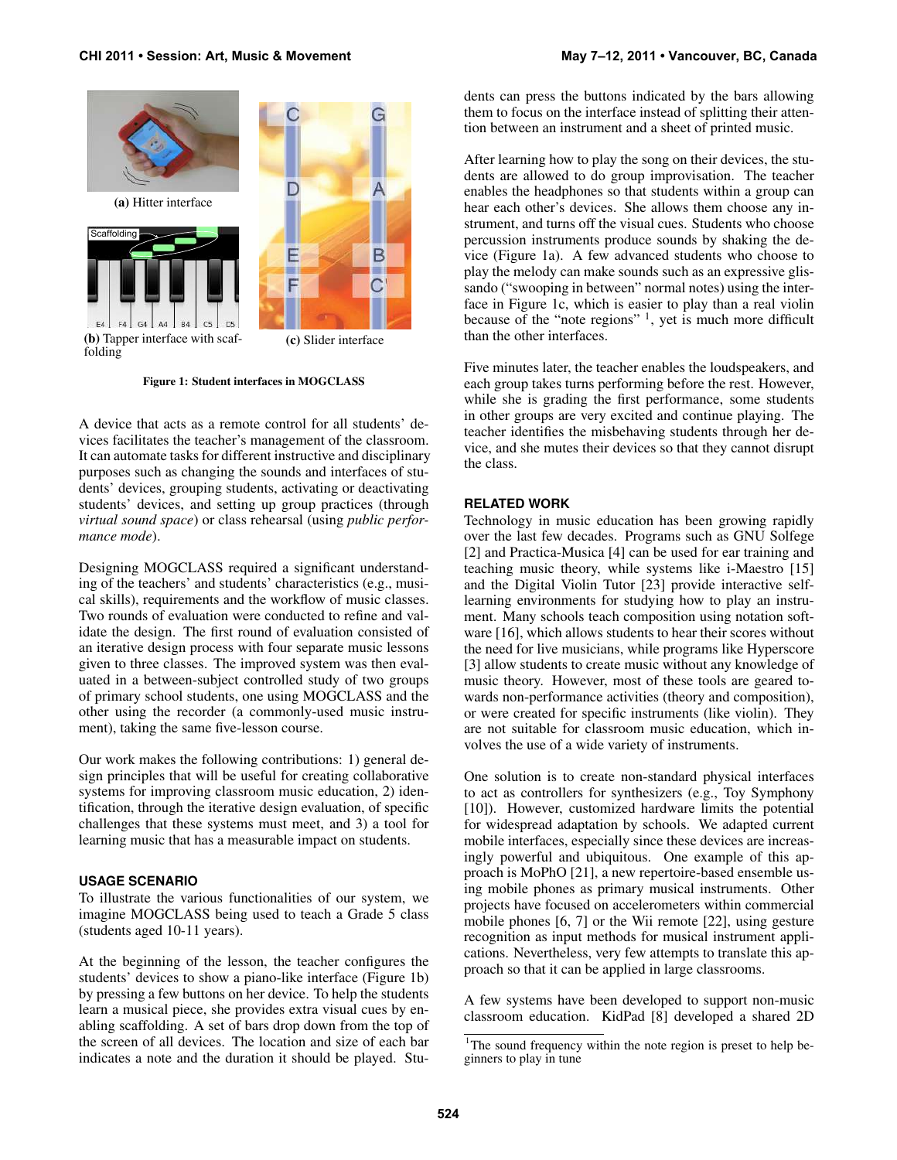<span id="page-1-2"></span><span id="page-1-1"></span>

<span id="page-1-0"></span>

(c) Slider interface

<span id="page-1-4"></span>Figure 1: Student interfaces in MOGCLASS

A device that acts as a remote control for all students' devices facilitates the teacher's management of the classroom. It can automate tasks for different instructive and disciplinary purposes such as changing the sounds and interfaces of students' devices, grouping students, activating or deactivating students' devices, and setting up group practices (through *virtual sound space*) or class rehearsal (using *public performance mode*).

Designing MOGCLASS required a significant understanding of the teachers' and students' characteristics (e.g., musical skills), requirements and the workflow of music classes. Two rounds of evaluation were conducted to refine and validate the design. The first round of evaluation consisted of an iterative design process with four separate music lessons given to three classes. The improved system was then evaluated in a between-subject controlled study of two groups of primary school students, one using MOGCLASS and the other using the recorder (a commonly-used music instrument), taking the same five-lesson course.

Our work makes the following contributions: 1) general design principles that will be useful for creating collaborative systems for improving classroom music education, 2) identification, through the iterative design evaluation, of specific challenges that these systems must meet, and 3) a tool for learning music that has a measurable impact on students.

#### **USAGE SCENARIO**

To illustrate the various functionalities of our system, we imagine MOGCLASS being used to teach a Grade 5 class (students aged 10-11 years).

At the beginning of the lesson, the teacher configures the students' devices to show a piano-like interface (Figure [1b\)](#page-1-0) by pressing a few buttons on her device. To help the students learn a musical piece, she provides extra visual cues by enabling scaffolding. A set of bars drop down from the top of the screen of all devices. The location and size of each bar indicates a note and the duration it should be played. Students can press the buttons indicated by the bars allowing them to focus on the interface instead of splitting their attention between an instrument and a sheet of printed music.

After learning how to play the song on their devices, the students are allowed to do group improvisation. The teacher enables the headphones so that students within a group can hear each other's devices. She allows them choose any instrument, and turns off the visual cues. Students who choose percussion instruments produce sounds by shaking the device (Figure [1a\)](#page-1-1). A few advanced students who choose to play the melody can make sounds such as an expressive glissando ("swooping in between" normal notes) using the interface in Figure [1c,](#page-1-2) which is easier to play than a real violin because of the "note regions" <sup>[1](#page-1-3)</sup>, yet is much more difficult than the other interfaces.

Five minutes later, the teacher enables the loudspeakers, and each group takes turns performing before the rest. However, while she is grading the first performance, some students in other groups are very excited and continue playing. The teacher identifies the misbehaving students through her device, and she mutes their devices so that they cannot disrupt the class.

## **RELATED WORK**

Technology in music education has been growing rapidly over the last few decades. Programs such as GNU Solfege [\[2\]](#page-9-3) and Practica-Musica [\[4\]](#page-9-4) can be used for ear training and teaching music theory, while systems like i-Maestro [\[15\]](#page-9-5) and the Digital Violin Tutor [\[23\]](#page-9-6) provide interactive selflearning environments for studying how to play an instrument. Many schools teach composition using notation software [\[16\]](#page-9-7), which allows students to hear their scores without the need for live musicians, while programs like Hyperscore [\[3\]](#page-9-8) allow students to create music without any knowledge of music theory. However, most of these tools are geared towards non-performance activities (theory and composition), or were created for specific instruments (like violin). They are not suitable for classroom music education, which involves the use of a wide variety of instruments.

One solution is to create non-standard physical interfaces to act as controllers for synthesizers (e.g., Toy Symphony [\[10\]](#page-9-9)). However, customized hardware limits the potential for widespread adaptation by schools. We adapted current mobile interfaces, especially since these devices are increasingly powerful and ubiquitous. One example of this approach is MoPhO [\[21\]](#page-9-10), a new repertoire-based ensemble using mobile phones as primary musical instruments. Other projects have focused on accelerometers within commercial mobile phones [\[6,](#page-9-11) [7\]](#page-9-12) or the Wii remote [\[22\]](#page-9-13), using gesture recognition as input methods for musical instrument applications. Nevertheless, very few attempts to translate this approach so that it can be applied in large classrooms.

A few systems have been developed to support non-music classroom education. KidPad [\[8\]](#page-9-14) developed a shared 2D

<span id="page-1-3"></span><sup>&</sup>lt;sup>1</sup>The sound frequency within the note region is preset to help beginners to play in tune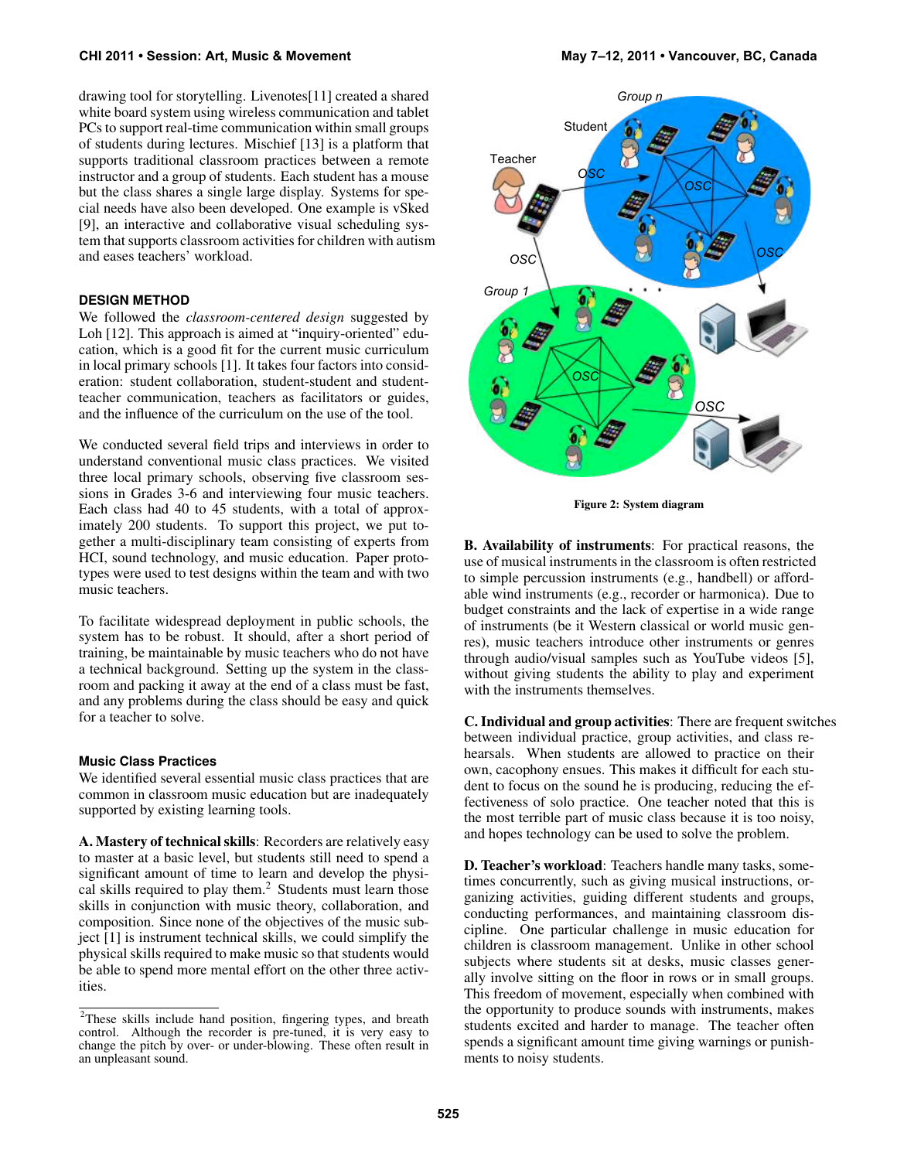drawing tool for storytelling. Livenotes[\[11\]](#page-9-15) created a shared white board system using wireless communication and tablet PCs to support real-time communication within small groups of students during lectures. Mischief [\[13\]](#page-9-16) is a platform that supports traditional classroom practices between a remote instructor and a group of students. Each student has a mouse but the class shares a single large display. Systems for special needs have also been developed. One example is vSked [\[9\]](#page-9-17), an interactive and collaborative visual scheduling system that supports classroom activities for children with autism and eases teachers' workload.

# **DESIGN METHOD**

We followed the *classroom-centered design* suggested by Loh [\[12\]](#page-9-18). This approach is aimed at "inquiry-oriented" education, which is a good fit for the current music curriculum in local primary schools [\[1\]](#page-9-19). It takes four factors into consideration: student collaboration, student-student and studentteacher communication, teachers as facilitators or guides, and the influence of the curriculum on the use of the tool.

We conducted several field trips and interviews in order to understand conventional music class practices. We visited three local primary schools, observing five classroom sessions in Grades 3-6 and interviewing four music teachers. Each class had 40 to 45 students, with a total of approximately 200 students. To support this project, we put together a multi-disciplinary team consisting of experts from HCI, sound technology, and music education. Paper prototypes were used to test designs within the team and with two music teachers.

To facilitate widespread deployment in public schools, the system has to be robust. It should, after a short period of training, be maintainable by music teachers who do not have a technical background. Setting up the system in the classroom and packing it away at the end of a class must be fast, and any problems during the class should be easy and quick for a teacher to solve.

#### **Music Class Practices**

We identified several essential music class practices that are common in classroom music education but are inadequately supported by existing learning tools.

A. Mastery of technical skills: Recorders are relatively easy to master at a basic level, but students still need to spend a significant amount of time to learn and develop the physi-cal skills required to play them.<sup>[2](#page-2-0)</sup> Students must learn those skills in conjunction with music theory, collaboration, and composition. Since none of the objectives of the music subject [\[1\]](#page-9-19) is instrument technical skills, we could simplify the physical skills required to make music so that students would be able to spend more mental effort on the other three activities.



<span id="page-2-1"></span>Figure 2: System diagram

B. Availability of instruments: For practical reasons, the use of musical instruments in the classroom is often restricted to simple percussion instruments (e.g., handbell) or affordable wind instruments (e.g., recorder or harmonica). Due to budget constraints and the lack of expertise in a wide range of instruments (be it Western classical or world music genres), music teachers introduce other instruments or genres through audio/visual samples such as YouTube videos [\[5\]](#page-9-20), without giving students the ability to play and experiment with the instruments themselves.

C. Individual and group activities: There are frequent switches between individual practice, group activities, and class rehearsals. When students are allowed to practice on their own, cacophony ensues. This makes it difficult for each student to focus on the sound he is producing, reducing the effectiveness of solo practice. One teacher noted that this is the most terrible part of music class because it is too noisy, and hopes technology can be used to solve the problem.

D. Teacher's workload: Teachers handle many tasks, sometimes concurrently, such as giving musical instructions, organizing activities, guiding different students and groups, conducting performances, and maintaining classroom discipline. One particular challenge in music education for children is classroom management. Unlike in other school subjects where students sit at desks, music classes generally involve sitting on the floor in rows or in small groups. This freedom of movement, especially when combined with the opportunity to produce sounds with instruments, makes students excited and harder to manage. The teacher often spends a significant amount time giving warnings or punishments to noisy students.

<span id="page-2-0"></span><sup>2</sup>These skills include hand position, fingering types, and breath control. Although the recorder is pre-tuned, it is very easy to change the pitch by over- or under-blowing. These often result in an unpleasant sound.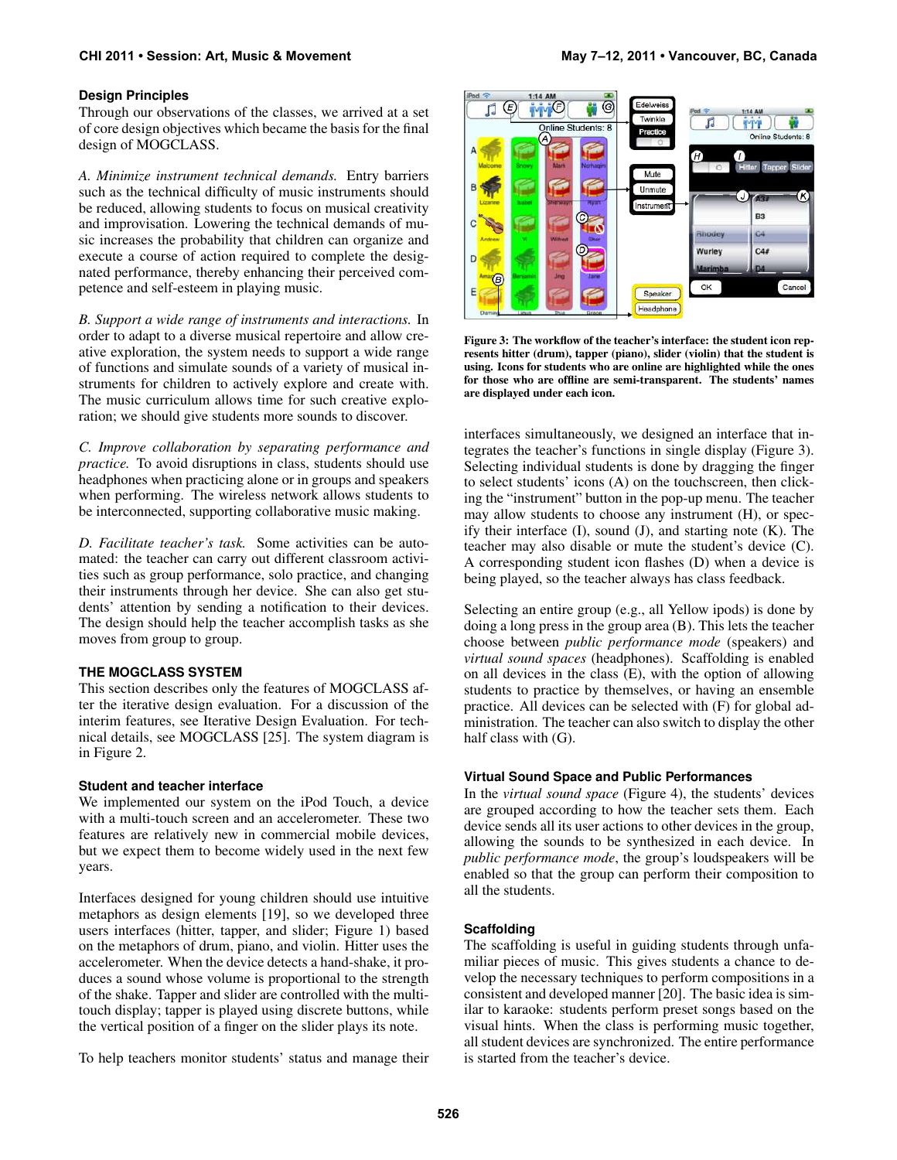#### **CHI 2011 • Session: Art, Music & Movement May 7–12, 2011 • Vancouver, BC, Canada**

#### **Design Principles**

Through our observations of the classes, we arrived at a set of core design objectives which became the basis for the final design of MOGCLASS.

*A. Minimize instrument technical demands.* Entry barriers such as the technical difficulty of music instruments should be reduced, allowing students to focus on musical creativity and improvisation. Lowering the technical demands of music increases the probability that children can organize and execute a course of action required to complete the designated performance, thereby enhancing their perceived competence and self-esteem in playing music.

*B. Support a wide range of instruments and interactions.* In order to adapt to a diverse musical repertoire and allow creative exploration, the system needs to support a wide range of functions and simulate sounds of a variety of musical instruments for children to actively explore and create with. The music curriculum allows time for such creative exploration; we should give students more sounds to discover.

*C. Improve collaboration by separating performance and practice.* To avoid disruptions in class, students should use headphones when practicing alone or in groups and speakers when performing. The wireless network allows students to be interconnected, supporting collaborative music making.

*D. Facilitate teacher's task.* Some activities can be automated: the teacher can carry out different classroom activities such as group performance, solo practice, and changing their instruments through her device. She can also get students' attention by sending a notification to their devices. The design should help the teacher accomplish tasks as she moves from group to group.

#### **THE MOGCLASS SYSTEM**

This section describes only the features of MOGCLASS after the iterative design evaluation. For a discussion of the interim features, see Iterative Design Evaluation. For technical details, see MOGCLASS [\[25\]](#page-9-2). The system diagram is in Figure [2.](#page-2-1)

#### **Student and teacher interface**

We implemented our system on the iPod Touch, a device with a multi-touch screen and an accelerometer. These two features are relatively new in commercial mobile devices, but we expect them to become widely used in the next few years.

Interfaces designed for young children should use intuitive metaphors as design elements [\[19\]](#page-9-21), so we developed three users interfaces (hitter, tapper, and slider; Figure [1\)](#page-1-4) based on the metaphors of drum, piano, and violin. Hitter uses the accelerometer. When the device detects a hand-shake, it produces a sound whose volume is proportional to the strength of the shake. Tapper and slider are controlled with the multitouch display; tapper is played using discrete buttons, while the vertical position of a finger on the slider plays its note.

To help teachers monitor students' status and manage their



<span id="page-3-0"></span>Figure 3: The workflow of the teacher's interface: the student icon represents hitter (drum), tapper (piano), slider (violin) that the student is using. Icons for students who are online are highlighted while the ones for those who are offline are semi-transparent. The students' names are displayed under each icon.

interfaces simultaneously, we designed an interface that integrates the teacher's functions in single display (Figure [3\)](#page-3-0). Selecting individual students is done by dragging the finger to select students' icons (A) on the touchscreen, then clicking the "instrument" button in the pop-up menu. The teacher may allow students to choose any instrument (H), or specify their interface  $(I)$ , sound  $(J)$ , and starting note  $(K)$ . The teacher may also disable or mute the student's device (C). A corresponding student icon flashes (D) when a device is being played, so the teacher always has class feedback.

Selecting an entire group (e.g., all Yellow ipods) is done by doing a long press in the group area (B). This lets the teacher choose between *public performance mode* (speakers) and *virtual sound spaces* (headphones). Scaffolding is enabled on all devices in the class (E), with the option of allowing students to practice by themselves, or having an ensemble practice. All devices can be selected with (F) for global administration. The teacher can also switch to display the other half class with (G).

#### **Virtual Sound Space and Public Performances**

In the *virtual sound space* (Figure [4\)](#page-4-0), the students' devices are grouped according to how the teacher sets them. Each device sends all its user actions to other devices in the group, allowing the sounds to be synthesized in each device. In *public performance mode*, the group's loudspeakers will be enabled so that the group can perform their composition to all the students.

## **Scaffolding**

The scaffolding is useful in guiding students through unfamiliar pieces of music. This gives students a chance to develop the necessary techniques to perform compositions in a consistent and developed manner [\[20\]](#page-9-0). The basic idea is similar to karaoke: students perform preset songs based on the visual hints. When the class is performing music together, all student devices are synchronized. The entire performance is started from the teacher's device.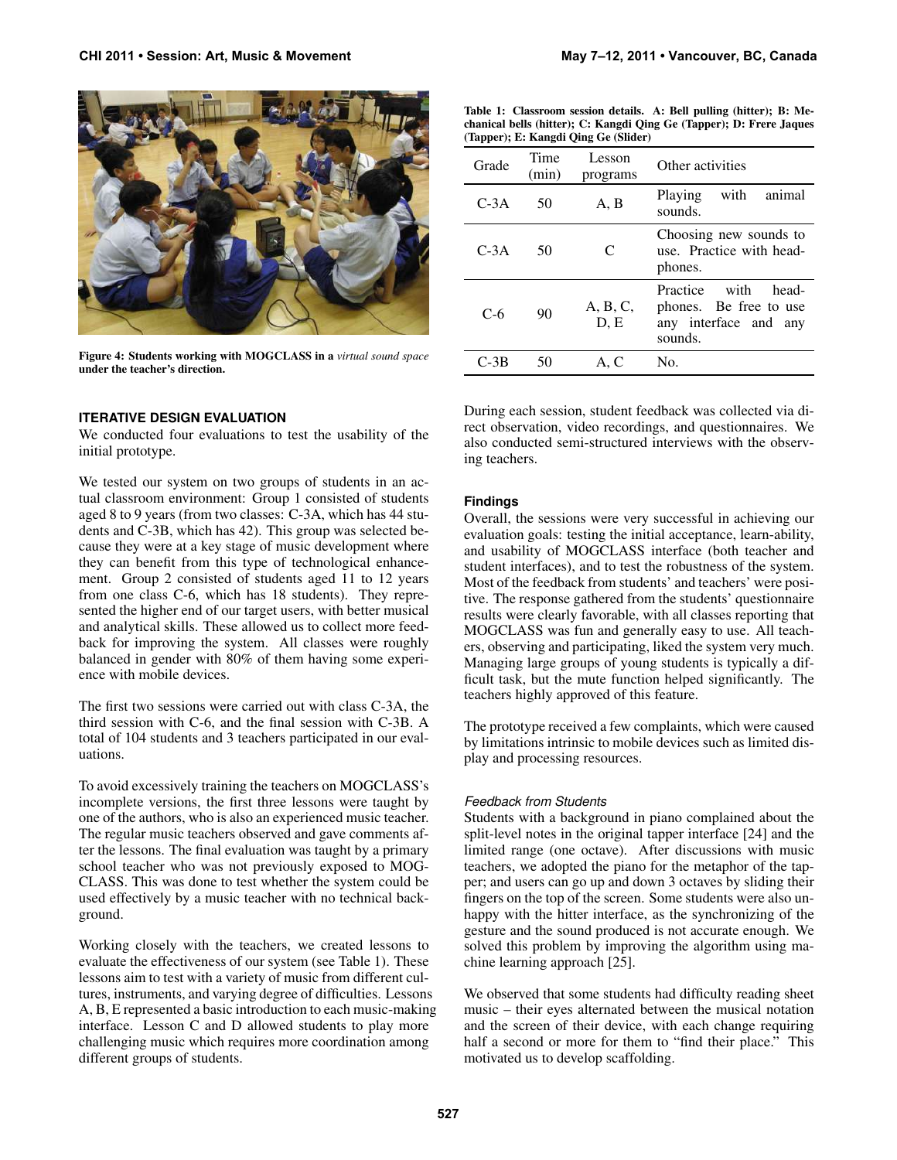

Figure 4: Students working with MOGCLASS in a *virtual sound space* under the teacher's direction.

## <span id="page-4-0"></span>**ITERATIVE DESIGN EVALUATION**

We conducted four evaluations to test the usability of the initial prototype.

We tested our system on two groups of students in an actual classroom environment: Group 1 consisted of students aged 8 to 9 years (from two classes: C-3A, which has 44 students and C-3B, which has 42). This group was selected because they were at a key stage of music development where they can benefit from this type of technological enhancement. Group 2 consisted of students aged 11 to 12 years from one class C-6, which has 18 students). They represented the higher end of our target users, with better musical and analytical skills. These allowed us to collect more feedback for improving the system. All classes were roughly balanced in gender with 80% of them having some experience with mobile devices.

The first two sessions were carried out with class C-3A, the third session with C-6, and the final session with C-3B. A total of 104 students and 3 teachers participated in our evaluations.

To avoid excessively training the teachers on MOGCLASS's incomplete versions, the first three lessons were taught by one of the authors, who is also an experienced music teacher. The regular music teachers observed and gave comments after the lessons. The final evaluation was taught by a primary school teacher who was not previously exposed to MOG-CLASS. This was done to test whether the system could be used effectively by a music teacher with no technical background.

Working closely with the teachers, we created lessons to evaluate the effectiveness of our system (see Table [1\)](#page-4-1). These lessons aim to test with a variety of music from different cultures, instruments, and varying degree of difficulties. Lessons A, B, E represented a basic introduction to each music-making interface. Lesson C and D allowed students to play more challenging music which requires more coordination among different groups of students.

| chanical bells (hitter); C: Kangdi Qing Ge (Tapper); D: Frere Jaques<br>(Tapper); E: Kangdi Oing Ge (Slider) |               |                    |                                                                                         |  |  |  |  |
|--------------------------------------------------------------------------------------------------------------|---------------|--------------------|-----------------------------------------------------------------------------------------|--|--|--|--|
| Grade                                                                                                        | Time<br>(min) | Lesson<br>programs | Other activities                                                                        |  |  |  |  |
| $C-3A$                                                                                                       | 50            | A, B               | with<br>Playing<br>animal<br>sounds.                                                    |  |  |  |  |
| $C-3A$                                                                                                       | 50            | C                  | Choosing new sounds to<br>use. Practice with head-<br>phones.                           |  |  |  |  |
| $C-6$                                                                                                        | 90            | A, B, C,<br>D, E   | Practice with<br>head-<br>phones. Be free to use<br>any interface and<br>any<br>sounds. |  |  |  |  |
| C-3B                                                                                                         | 50            | A. C               | No.                                                                                     |  |  |  |  |

<span id="page-4-1"></span>Table 1: Classroom session details. A: Bell pulling (hitter); B: Me-

During each session, student feedback was collected via direct observation, video recordings, and questionnaires. We also conducted semi-structured interviews with the observing teachers.

#### **Findings**

Overall, the sessions were very successful in achieving our evaluation goals: testing the initial acceptance, learn-ability, and usability of MOGCLASS interface (both teacher and student interfaces), and to test the robustness of the system. Most of the feedback from students' and teachers' were positive. The response gathered from the students' questionnaire results were clearly favorable, with all classes reporting that MOGCLASS was fun and generally easy to use. All teachers, observing and participating, liked the system very much. Managing large groups of young students is typically a difficult task, but the mute function helped significantly. The teachers highly approved of this feature.

The prototype received a few complaints, which were caused by limitations intrinsic to mobile devices such as limited display and processing resources.

#### *Feedback from Students*

Students with a background in piano complained about the split-level notes in the original tapper interface [\[24\]](#page-9-22) and the limited range (one octave). After discussions with music teachers, we adopted the piano for the metaphor of the tapper; and users can go up and down 3 octaves by sliding their fingers on the top of the screen. Some students were also unhappy with the hitter interface, as the synchronizing of the gesture and the sound produced is not accurate enough. We solved this problem by improving the algorithm using machine learning approach [\[25\]](#page-9-2).

We observed that some students had difficulty reading sheet music – their eyes alternated between the musical notation and the screen of their device, with each change requiring half a second or more for them to "find their place." This motivated us to develop scaffolding.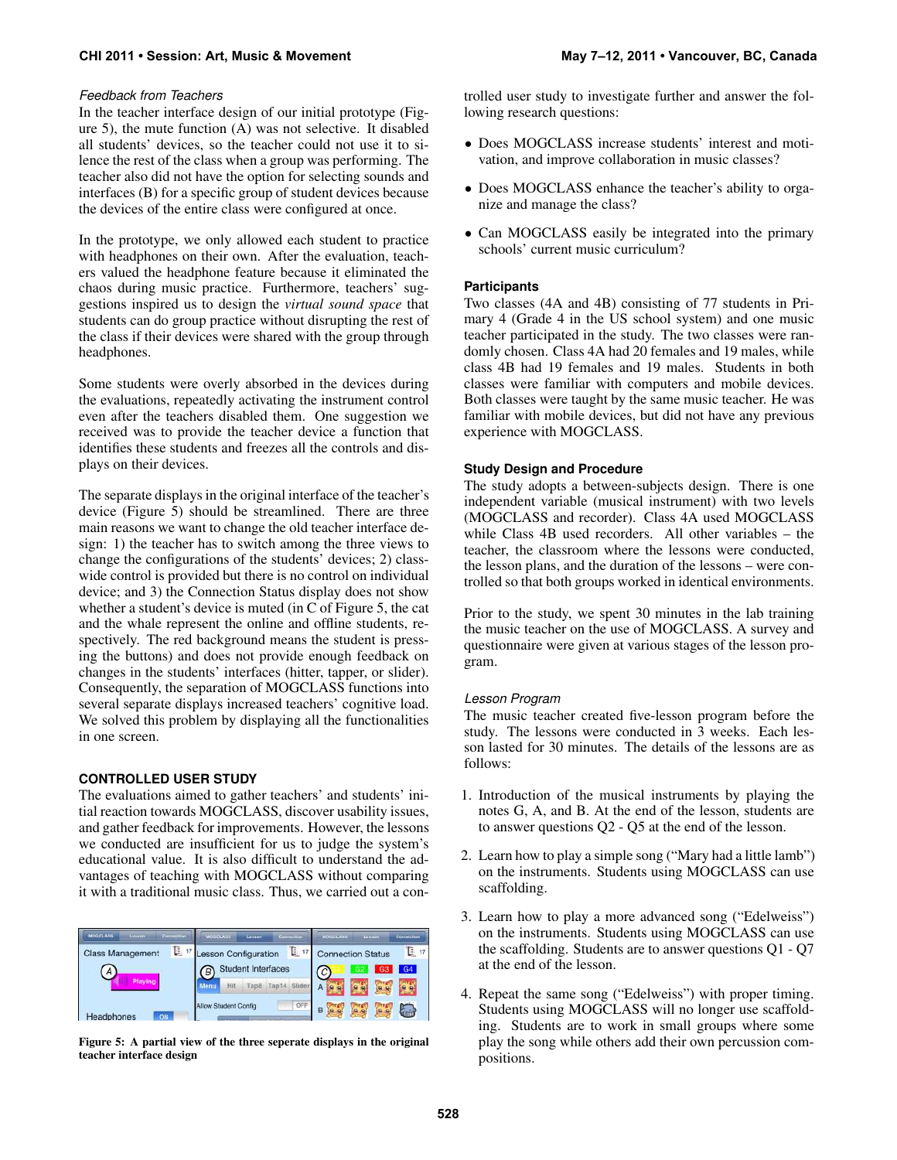#### *Feedback from Teachers*

In the teacher interface design of our initial prototype (Figure [5\)](#page-5-0), the mute function (A) was not selective. It disabled all students' devices, so the teacher could not use it to silence the rest of the class when a group was performing. The teacher also did not have the option for selecting sounds and interfaces (B) for a specific group of student devices because the devices of the entire class were configured at once.

In the prototype, we only allowed each student to practice with headphones on their own. After the evaluation, teachers valued the headphone feature because it eliminated the chaos during music practice. Furthermore, teachers' suggestions inspired us to design the *virtual sound space* that students can do group practice without disrupting the rest of the class if their devices were shared with the group through headphones.

Some students were overly absorbed in the devices during the evaluations, repeatedly activating the instrument control even after the teachers disabled them. One suggestion we received was to provide the teacher device a function that identifies these students and freezes all the controls and displays on their devices.

The separate displays in the original interface of the teacher's device (Figure [5\)](#page-5-0) should be streamlined. There are three main reasons we want to change the old teacher interface design: 1) the teacher has to switch among the three views to change the configurations of the students' devices; 2) classwide control is provided but there is no control on individual device; and 3) the Connection Status display does not show whether a student's device is muted (in C of Figure [5,](#page-5-0) the cat and the whale represent the online and offline students, respectively. The red background means the student is pressing the buttons) and does not provide enough feedback on changes in the students' interfaces (hitter, tapper, or slider). Consequently, the separation of MOGCLASS functions into several separate displays increased teachers' cognitive load. We solved this problem by displaying all the functionalities in one screen.

#### **CONTROLLED USER STUDY**

The evaluations aimed to gather teachers' and students' initial reaction towards MOGCLASS, discover usability issues, and gather feedback for improvements. However, the lessons we conducted are insufficient for us to judge the system's educational value. It is also difficult to understand the advantages of teaching with MOGCLASS without comparing it with a traditional music class. Thus, we carried out a con-

| <b>MOGCLASS</b><br>Linnon | Committion | <b>MOGELASS</b>                | Lesson               |                  | Connection. | <b>MOGCLASS</b> | <b>Tarkann</b>           | Connection |
|---------------------------|------------|--------------------------------|----------------------|------------------|-------------|-----------------|--------------------------|------------|
| Class Management          | D. 17      |                                | Lesson Configuration |                  | $E_{17}$    |                 | <b>Connection Status</b> | в<br>17    |
| $\mathcal{A}$             |            | <b>Student Interfaces</b><br>В |                      | $\boldsymbol{C}$ |             | G4              |                          |            |
|                           |            | <b>Aenu</b>                    | Hit<br>FapB          | Tap14            | Slider      |                 |                          |            |
| Headphones<br>ON          |            |                                | Allow Student Config |                  | OFF         |                 |                          | 編          |

<span id="page-5-0"></span>Figure 5: A partial view of the three seperate displays in the original teacher interface design

trolled user study to investigate further and answer the following research questions:

- Does MOGCLASS increase students' interest and motivation, and improve collaboration in music classes?
- Does MOGCLASS enhance the teacher's ability to organize and manage the class?
- Can MOGCLASS easily be integrated into the primary schools' current music curriculum?

#### **Participants**

Two classes (4A and 4B) consisting of 77 students in Primary 4 (Grade 4 in the US school system) and one music teacher participated in the study. The two classes were randomly chosen. Class 4A had 20 females and 19 males, while class 4B had 19 females and 19 males. Students in both classes were familiar with computers and mobile devices. Both classes were taught by the same music teacher. He was familiar with mobile devices, but did not have any previous experience with MOGCLASS.

#### **Study Design and Procedure**

The study adopts a between-subjects design. There is one independent variable (musical instrument) with two levels (MOGCLASS and recorder). Class 4A used MOGCLASS while Class 4B used recorders. All other variables – the teacher, the classroom where the lessons were conducted, the lesson plans, and the duration of the lessons – were controlled so that both groups worked in identical environments.

Prior to the study, we spent 30 minutes in the lab training the music teacher on the use of MOGCLASS. A survey and questionnaire were given at various stages of the lesson program.

#### *Lesson Program*

The music teacher created five-lesson program before the study. The lessons were conducted in 3 weeks. Each lesson lasted for 30 minutes. The details of the lessons are as follows:

- 1. Introduction of the musical instruments by playing the notes G, A, and B. At the end of the lesson, students are to answer questions Q2 - Q5 at the end of the lesson.
- 2. Learn how to play a simple song ("Mary had a little lamb") on the instruments. Students using MOGCLASS can use scaffolding.
- 3. Learn how to play a more advanced song ("Edelweiss") on the instruments. Students using MOGCLASS can use the scaffolding. Students are to answer questions Q1 - Q7 at the end of the lesson.
- 4. Repeat the same song ("Edelweiss") with proper timing. Students using MOGCLASS will no longer use scaffolding. Students are to work in small groups where some play the song while others add their own percussion compositions.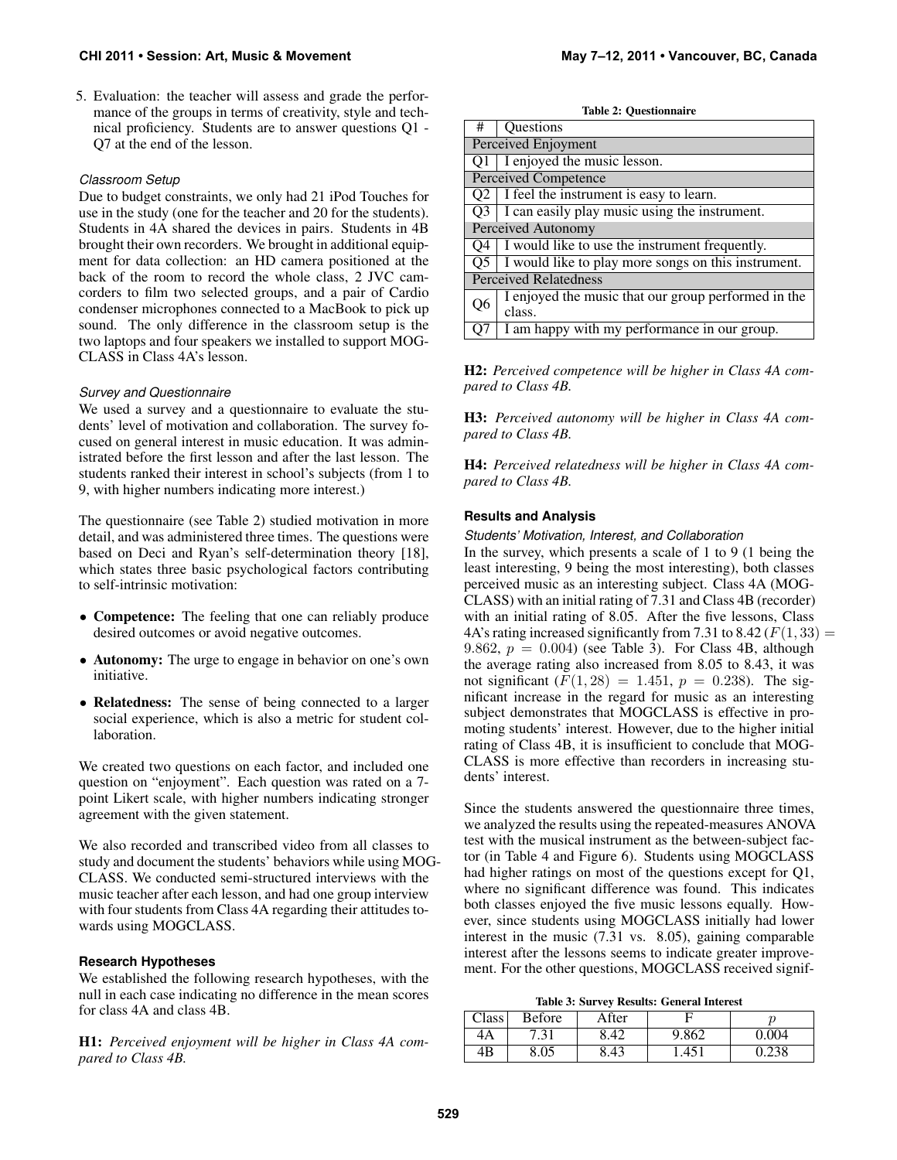5. Evaluation: the teacher will assess and grade the performance of the groups in terms of creativity, style and technical proficiency. Students are to answer questions Q1 - Q7 at the end of the lesson.

#### *Classroom Setup*

Due to budget constraints, we only had 21 iPod Touches for use in the study (one for the teacher and 20 for the students). Students in 4A shared the devices in pairs. Students in 4B brought their own recorders. We brought in additional equipment for data collection: an HD camera positioned at the back of the room to record the whole class, 2 JVC camcorders to film two selected groups, and a pair of Cardio condenser microphones connected to a MacBook to pick up sound. The only difference in the classroom setup is the two laptops and four speakers we installed to support MOG-CLASS in Class 4A's lesson.

#### *Survey and Questionnaire*

We used a survey and a questionnaire to evaluate the students' level of motivation and collaboration. The survey focused on general interest in music education. It was administrated before the first lesson and after the last lesson. The students ranked their interest in school's subjects (from 1 to 9, with higher numbers indicating more interest.)

The questionnaire (see Table [2\)](#page-6-0) studied motivation in more detail, and was administered three times. The questions were based on Deci and Ryan's self-determination theory [\[18\]](#page-9-23), which states three basic psychological factors contributing to self-intrinsic motivation:

- Competence: The feeling that one can reliably produce desired outcomes or avoid negative outcomes.
- Autonomy: The urge to engage in behavior on one's own initiative.
- Relatedness: The sense of being connected to a larger social experience, which is also a metric for student collaboration.

We created two questions on each factor, and included one question on "enjoyment". Each question was rated on a 7 point Likert scale, with higher numbers indicating stronger agreement with the given statement.

We also recorded and transcribed video from all classes to study and document the students' behaviors while using MOG-CLASS. We conducted semi-structured interviews with the music teacher after each lesson, and had one group interview with four students from Class 4A regarding their attitudes towards using MOGCLASS.

#### **Research Hypotheses**

We established the following research hypotheses, with the null in each case indicating no difference in the mean scores for class 4A and class 4B.

H1: *Perceived enjoyment will be higher in Class 4A compared to Class 4B.*

<span id="page-6-0"></span>

|  | <b>Table 2: Questionnaire</b> |  |
|--|-------------------------------|--|
|--|-------------------------------|--|

| #                            | Questions                                                  |  |  |  |  |  |
|------------------------------|------------------------------------------------------------|--|--|--|--|--|
|                              | Perceived Enjoyment                                        |  |  |  |  |  |
|                              | $Q1$ I enjoyed the music lesson.                           |  |  |  |  |  |
|                              | <b>Perceived Competence</b>                                |  |  |  |  |  |
| O <sub>2</sub>               | I feel the instrument is easy to learn.                    |  |  |  |  |  |
| O3                           | I can easily play music using the instrument.              |  |  |  |  |  |
|                              | Perceived Autonomy                                         |  |  |  |  |  |
| O4                           | I would like to use the instrument frequently.             |  |  |  |  |  |
|                              | $Q5$   I would like to play more songs on this instrument. |  |  |  |  |  |
| <b>Perceived Relatedness</b> |                                                            |  |  |  |  |  |
| Q6                           | I enjoyed the music that our group performed in the        |  |  |  |  |  |
|                              | class.                                                     |  |  |  |  |  |
|                              | I am happy with my performance in our group.               |  |  |  |  |  |

H2: *Perceived competence will be higher in Class 4A compared to Class 4B.*

H3: *Perceived autonomy will be higher in Class 4A compared to Class 4B.*

H4: *Perceived relatedness will be higher in Class 4A compared to Class 4B.*

## **Results and Analysis**

*Students' Motivation, Interest, and Collaboration*

In the survey, which presents a scale of 1 to 9 (1 being the least interesting, 9 being the most interesting), both classes perceived music as an interesting subject. Class 4A (MOG-CLASS) with an initial rating of 7.31 and Class 4B (recorder) with an initial rating of 8.05. After the five lessons, Class 4A's rating increased significantly from 7.31 to 8.42 ( $F(1, 33) =$ 9.862,  $p = 0.004$ ) (see Table [3\)](#page-6-1). For Class 4B, although the average rating also increased from 8.05 to 8.43, it was not significant  $(F(1, 28) = 1.451, p = 0.238)$ . The significant increase in the regard for music as an interesting subject demonstrates that MOGCLASS is effective in promoting students' interest. However, due to the higher initial rating of Class 4B, it is insufficient to conclude that MOG-CLASS is more effective than recorders in increasing students' interest.

Since the students answered the questionnaire three times, we analyzed the results using the repeated-measures ANOVA test with the musical instrument as the between-subject factor (in Table [4](#page-7-0) and Figure [6\)](#page-7-1). Students using MOGCLASS had higher ratings on most of the questions except for Q1, where no significant difference was found. This indicates both classes enjoyed the five music lessons equally. However, since students using MOGCLASS initially had lower interest in the music (7.31 vs. 8.05), gaining comparable interest after the lessons seems to indicate greater improvement. For the other questions, MOGCLASS received signif-

<span id="page-6-1"></span>

|  | Table 3: Survey Results: General Interest |  |
|--|-------------------------------------------|--|
|  |                                           |  |

| Class | Before | After |       |    |
|-------|--------|-------|-------|----|
| 4Α    | ۰. ت   |       | 9.862 | 04 |
| 4B    | 8.05   |       |       |    |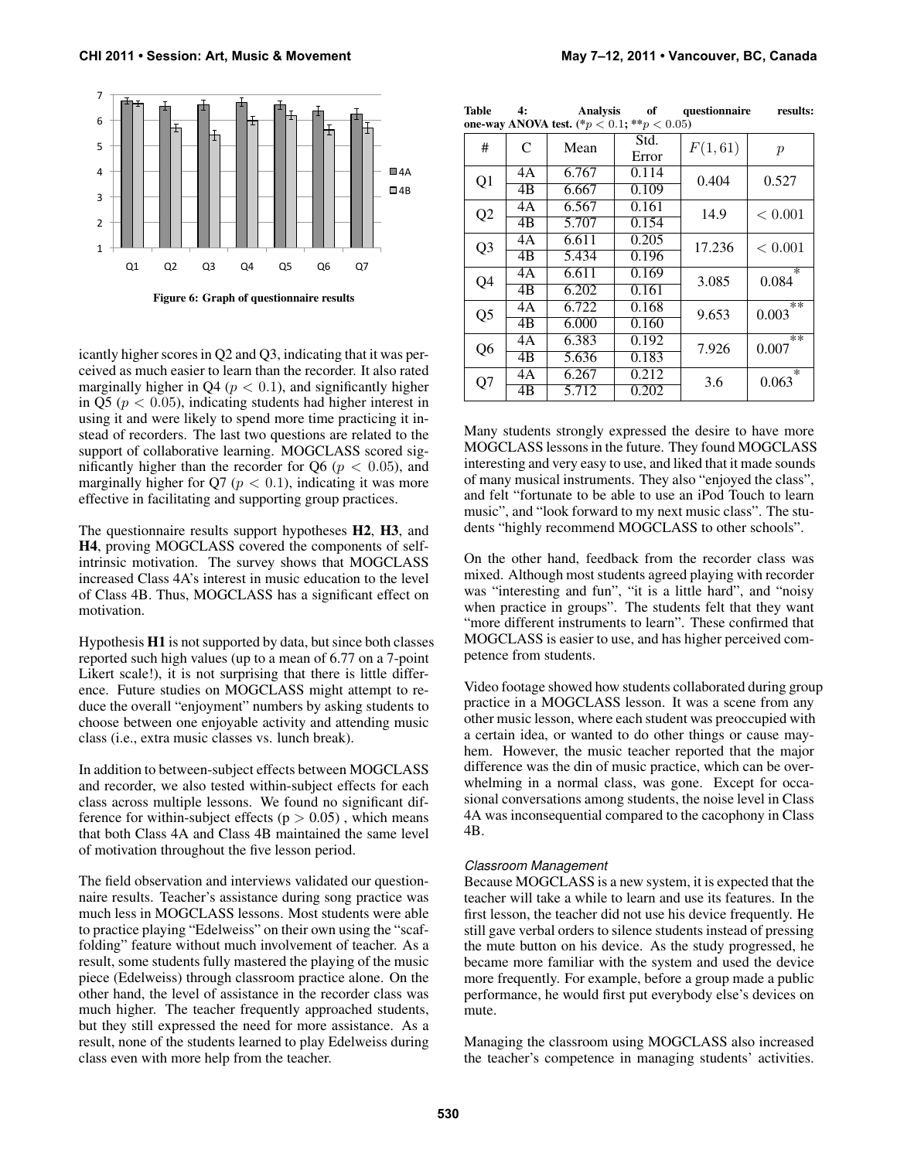

<span id="page-7-1"></span>Figure 6: Graph of questionnaire results

icantly higher scores in Q2 and Q3, indicating that it was perceived as much easier to learn than the recorder. It also rated marginally higher in  $Q4$  ( $p < 0.1$ ), and significantly higher in Q5 ( $p < 0.05$ ), indicating students had higher interest in using it and were likely to spend more time practicing it instead of recorders. The last two questions are related to the support of collaborative learning. MOGCLASS scored significantly higher than the recorder for Q6 ( $p < 0.05$ ), and marginally higher for  $Q7 (p < 0.1)$ , indicating it was more effective in facilitating and supporting group practices.

The questionnaire results support hypotheses H2, H3, and H4, proving MOGCLASS covered the components of selfintrinsic motivation. The survey shows that MOGCLASS increased Class 4A's interest in music education to the level of Class 4B. Thus, MOGCLASS has a significant effect on motivation.

Hypothesis H1 is not supported by data, but since both classes reported such high values (up to a mean of 6.77 on a 7-point Likert scale!), it is not surprising that there is little difference. Future studies on MOGCLASS might attempt to reduce the overall "enjoyment" numbers by asking students to choose between one enjoyable activity and attending music class (i.e., extra music classes vs. lunch break).

In addition to between-subject effects between MOGCLASS and recorder, we also tested within-subject effects for each class across multiple lessons. We found no significant difference for within-subject effects ( $p > 0.05$ ), which means that both Class 4A and Class 4B maintained the same level of motivation throughout the five lesson period.

The field observation and interviews validated our questionnaire results. Teacher's assistance during song practice was much less in MOGCLASS lessons. Most students were able to practice playing "Edelweiss" on their own using the "scaffolding" feature without much involvement of teacher. As a result, some students fully mastered the playing of the music piece (Edelweiss) through classroom practice alone. On the other hand, the level of assistance in the recorder class was much higher. The teacher frequently approached students, but they still expressed the need for more assistance. As a result, none of the students learned to play Edelweiss during class even with more help from the teacher.

<span id="page-7-0"></span>

| Table | Analysis                                     | of | questionnaire | results: |
|-------|----------------------------------------------|----|---------------|----------|
|       | one-way ANOVA test. $(*p < 0.1; **p < 0.05)$ |    |               |          |

| #              | $\mathcal{C}$   | Mean  | Std.<br>Error      | F(1,61) | $\boldsymbol{p}$         |
|----------------|-----------------|-------|--------------------|---------|--------------------------|
| Q1             | 4A              | 6.767 | 0.114              | 0.404   | 0.527                    |
|                | 4B              | 6.667 | 0.109              |         |                          |
| Q2             | 4A              | 6.567 | 0.161              | 14.9    | ${}< 0.001$              |
|                | 4B              | 5.707 | 0.154              |         |                          |
| Q <sub>3</sub> | 4A              | 6.611 | 0.205              | 17.236  | < 0.001                  |
|                | 4B              | 5.434 | 0.196              |         |                          |
| Q4             | 4A              | 6.611 | 0.169              | 3.085   | $\ast$<br>0.084          |
|                | $\overline{AB}$ | 6.202 | 0.161              |         |                          |
| Q <sub>5</sub> | 4A              | 6.722 | 0.168              | 9.653   | $\overline{**}$<br>0.003 |
|                | $\overline{AB}$ | 6.000 | 0.160              |         |                          |
| Q <sub>6</sub> | 4A              | 6.383 | 0.192              | 7.926   | $\overline{**}$<br>0.007 |
|                | $\overline{AB}$ | 5.636 | $\overline{0.1}83$ |         |                          |
| Q7             | 4A              | 6.267 | $\overline{0.212}$ | 3.6     | $\ast$<br>0.063          |
|                | $\overline{AB}$ | 5.712 | 0.202              |         |                          |
|                |                 |       |                    |         |                          |

Many students strongly expressed the desire to have more MOGCLASS lessons in the future. They found MOGCLASS interesting and very easy to use, and liked that it made sounds of many musical instruments. They also "enjoyed the class", and felt "fortunate to be able to use an iPod Touch to learn music", and "look forward to my next music class". The students "highly recommend MOGCLASS to other schools".

On the other hand, feedback from the recorder class was mixed. Although most students agreed playing with recorder was "interesting and fun", "it is a little hard", and "noisy when practice in groups". The students felt that they want "more different instruments to learn". These confirmed that MOGCLASS is easier to use, and has higher perceived competence from students.

Video footage showed how students collaborated during group practice in a MOGCLASS lesson. It was a scene from any other music lesson, where each student was preoccupied with a certain idea, or wanted to do other things or cause mayhem. However, the music teacher reported that the major difference was the din of music practice, which can be overwhelming in a normal class, was gone. Except for occasional conversations among students, the noise level in Class 4A was inconsequential compared to the cacophony in Class 4B.

#### *Classroom Management*

Because MOGCLASS is a new system, it is expected that the teacher will take a while to learn and use its features. In the first lesson, the teacher did not use his device frequently. He still gave verbal orders to silence students instead of pressing the mute button on his device. As the study progressed, he became more familiar with the system and used the device more frequently. For example, before a group made a public performance, he would first put everybody else's devices on mute.

Managing the classroom using MOGCLASS also increased the teacher's competence in managing students' activities.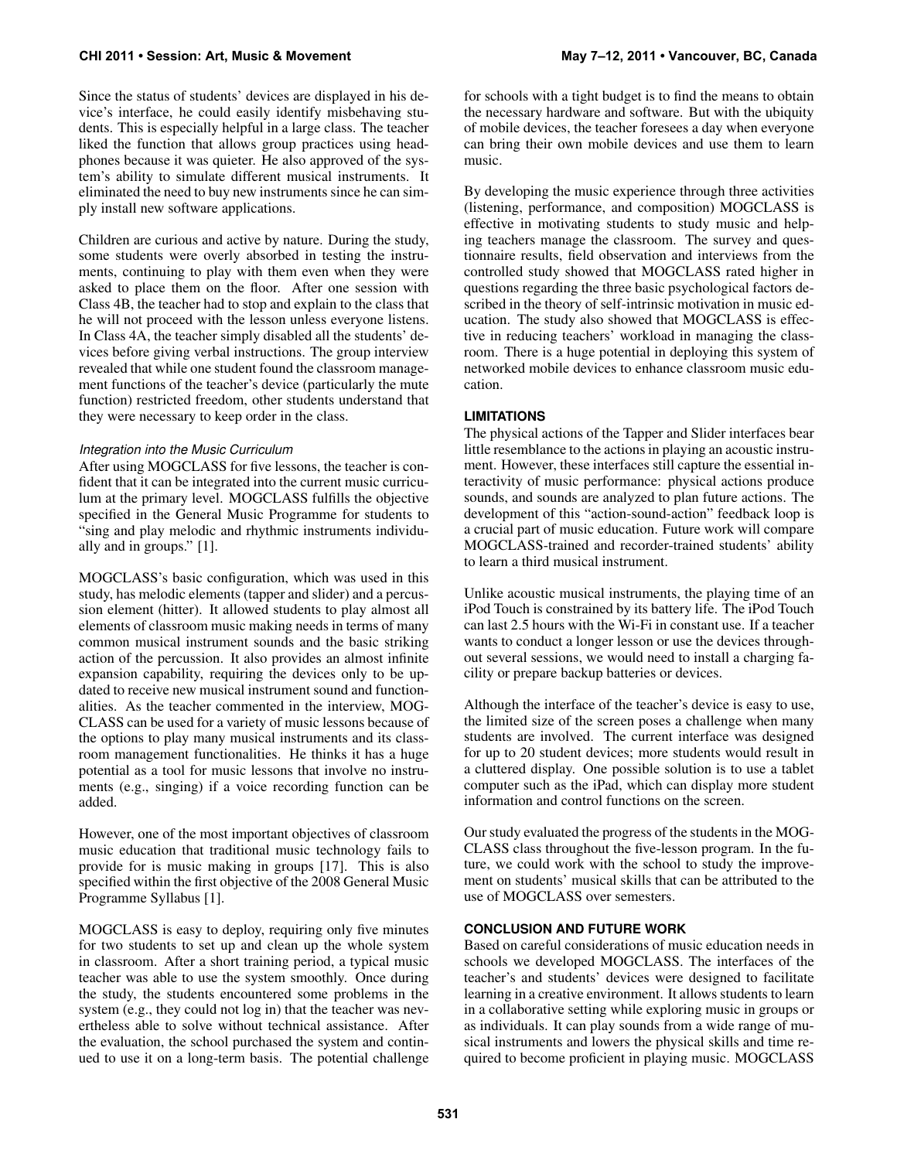Since the status of students' devices are displayed in his device's interface, he could easily identify misbehaving students. This is especially helpful in a large class. The teacher liked the function that allows group practices using headphones because it was quieter. He also approved of the system's ability to simulate different musical instruments. It eliminated the need to buy new instruments since he can simply install new software applications.

Children are curious and active by nature. During the study, some students were overly absorbed in testing the instruments, continuing to play with them even when they were asked to place them on the floor. After one session with Class 4B, the teacher had to stop and explain to the class that he will not proceed with the lesson unless everyone listens. In Class 4A, the teacher simply disabled all the students' devices before giving verbal instructions. The group interview revealed that while one student found the classroom management functions of the teacher's device (particularly the mute function) restricted freedom, other students understand that they were necessary to keep order in the class.

## *Integration into the Music Curriculum*

After using MOGCLASS for five lessons, the teacher is confident that it can be integrated into the current music curriculum at the primary level. MOGCLASS fulfills the objective specified in the General Music Programme for students to "sing and play melodic and rhythmic instruments individually and in groups." [\[1\]](#page-9-19).

MOGCLASS's basic configuration, which was used in this study, has melodic elements (tapper and slider) and a percussion element (hitter). It allowed students to play almost all elements of classroom music making needs in terms of many common musical instrument sounds and the basic striking action of the percussion. It also provides an almost infinite expansion capability, requiring the devices only to be updated to receive new musical instrument sound and functionalities. As the teacher commented in the interview, MOG-CLASS can be used for a variety of music lessons because of the options to play many musical instruments and its classroom management functionalities. He thinks it has a huge potential as a tool for music lessons that involve no instruments (e.g., singing) if a voice recording function can be added.

However, one of the most important objectives of classroom music education that traditional music technology fails to provide for is music making in groups [\[17\]](#page-9-24). This is also specified within the first objective of the 2008 General Music Programme Syllabus [\[1\]](#page-9-19).

MOGCLASS is easy to deploy, requiring only five minutes for two students to set up and clean up the whole system in classroom. After a short training period, a typical music teacher was able to use the system smoothly. Once during the study, the students encountered some problems in the system (e.g., they could not log in) that the teacher was nevertheless able to solve without technical assistance. After the evaluation, the school purchased the system and continued to use it on a long-term basis. The potential challenge for schools with a tight budget is to find the means to obtain the necessary hardware and software. But with the ubiquity of mobile devices, the teacher foresees a day when everyone can bring their own mobile devices and use them to learn music.

By developing the music experience through three activities (listening, performance, and composition) MOGCLASS is effective in motivating students to study music and helping teachers manage the classroom. The survey and questionnaire results, field observation and interviews from the controlled study showed that MOGCLASS rated higher in questions regarding the three basic psychological factors described in the theory of self-intrinsic motivation in music education. The study also showed that MOGCLASS is effective in reducing teachers' workload in managing the classroom. There is a huge potential in deploying this system of networked mobile devices to enhance classroom music education.

## **LIMITATIONS**

The physical actions of the Tapper and Slider interfaces bear little resemblance to the actions in playing an acoustic instrument. However, these interfaces still capture the essential interactivity of music performance: physical actions produce sounds, and sounds are analyzed to plan future actions. The development of this "action-sound-action" feedback loop is a crucial part of music education. Future work will compare MOGCLASS-trained and recorder-trained students' ability to learn a third musical instrument.

Unlike acoustic musical instruments, the playing time of an iPod Touch is constrained by its battery life. The iPod Touch can last 2.5 hours with the Wi-Fi in constant use. If a teacher wants to conduct a longer lesson or use the devices throughout several sessions, we would need to install a charging facility or prepare backup batteries or devices.

Although the interface of the teacher's device is easy to use, the limited size of the screen poses a challenge when many students are involved. The current interface was designed for up to 20 student devices; more students would result in a cluttered display. One possible solution is to use a tablet computer such as the iPad, which can display more student information and control functions on the screen.

Our study evaluated the progress of the students in the MOG-CLASS class throughout the five-lesson program. In the future, we could work with the school to study the improvement on students' musical skills that can be attributed to the use of MOGCLASS over semesters.

# **CONCLUSION AND FUTURE WORK**

Based on careful considerations of music education needs in schools we developed MOGCLASS. The interfaces of the teacher's and students' devices were designed to facilitate learning in a creative environment. It allows students to learn in a collaborative setting while exploring music in groups or as individuals. It can play sounds from a wide range of musical instruments and lowers the physical skills and time required to become proficient in playing music. MOGCLASS